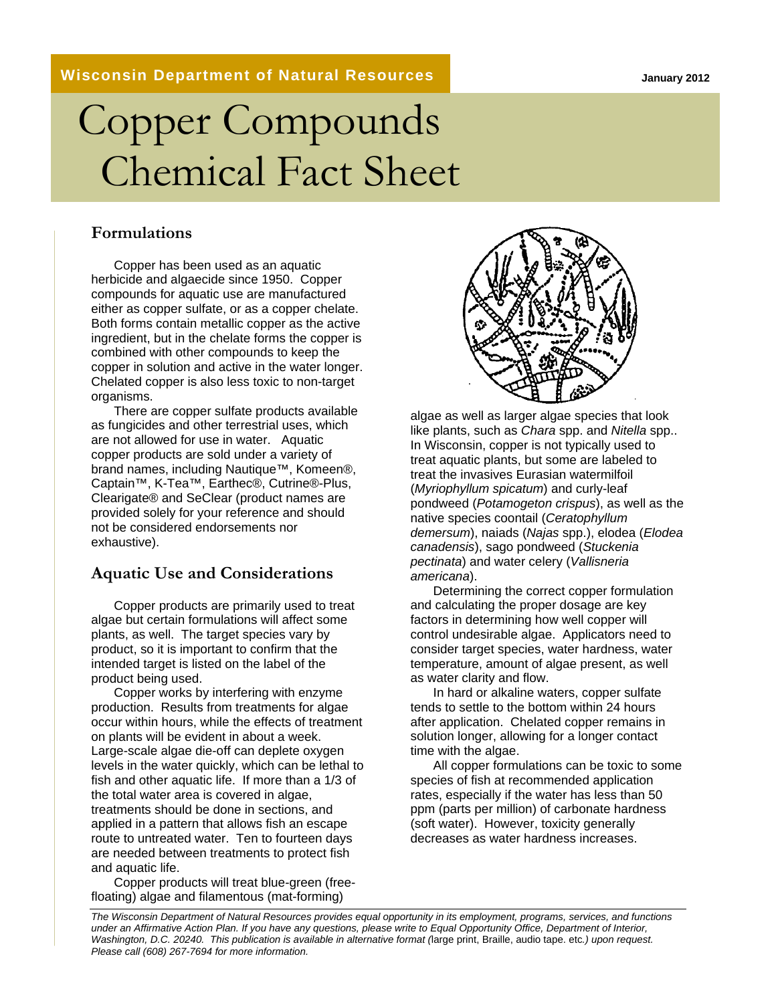#### **Wisconsin Department of Natural Resources**

# Copper Compounds Chemical Fact Sheet

#### **Formulations**

Copper has been used as an aquatic herbicide and algaecide since 1950. Copper compounds for aquatic use are manufactured either as copper sulfate, or as a copper chelate. Both forms contain metallic copper as the active ingredient, but in the chelate forms the copper is combined with other compounds to keep the copper in solution and active in the water longer. Chelated copper is also less toxic to non-target organisms.

There are copper sulfate products available as fungicides and other terrestrial uses, which are not allowed for use in water. Aquatic copper products are sold under a variety of brand names, including Nautique™, Komeen®, Captain™, K-Tea™, Earthec®, Cutrine®-Plus, Clearigate® and SeClear (product names are provided solely for your reference and should not be considered endorsements nor exhaustive).

#### **Aquatic Use and Considerations**

Copper products are primarily used to treat algae but certain formulations will affect some plants, as well. The target species vary by product, so it is important to confirm that the intended target is listed on the label of the product being used.

Copper works by interfering with enzyme production. Results from treatments for algae occur within hours, while the effects of treatment on plants will be evident in about a week. Large-scale algae die-off can deplete oxygen levels in the water quickly, which can be lethal to fish and other aquatic life. If more than a 1/3 of the total water area is covered in algae, treatments should be done in sections, and applied in a pattern that allows fish an escape route to untreated water. Ten to fourteen days are needed between treatments to protect fish and aquatic life.

Copper products will treat blue-green (freefloating) algae and filamentous (mat-forming)



algae as well as larger algae species that look like plants, such as *Chara* spp. and *Nitella* spp.. In Wisconsin, copper is not typically used to treat aquatic plants, but some are labeled to treat the invasives Eurasian watermilfoil (*Myriophyllum spicatum*) and curly-leaf pondweed (*Potamogeton crispus*), as well as the native species coontail (*Ceratophyllum demersum*), naiads (*Najas* spp.), elodea (*Elodea canadensis*), sago pondweed (*Stuckenia pectinata*) and water celery (*Vallisneria americana*).

Determining the correct copper formulation and calculating the proper dosage are key factors in determining how well copper will control undesirable algae. Applicators need to consider target species, water hardness, water temperature, amount of algae present, as well as water clarity and flow.

In hard or alkaline waters, copper sulfate tends to settle to the bottom within 24 hours after application. Chelated copper remains in solution longer, allowing for a longer contact time with the algae.

All copper formulations can be toxic to some species of fish at recommended application rates, especially if the water has less than 50 ppm (parts per million) of carbonate hardness (soft water). However, toxicity generally decreases as water hardness increases.

*The Wisconsin Department of Natural Resources provides equal opportunity in its employment, programs, services, and functions under an Affirmative Action Plan. If you have any questions, please write to Equal Opportunity Office, Department of Interior, Washington, D.C. 20240. This publication is available in alternative format (*large print, Braille, audio tape. etc*.) upon request. Please call (608) 267-7694 for more information.*